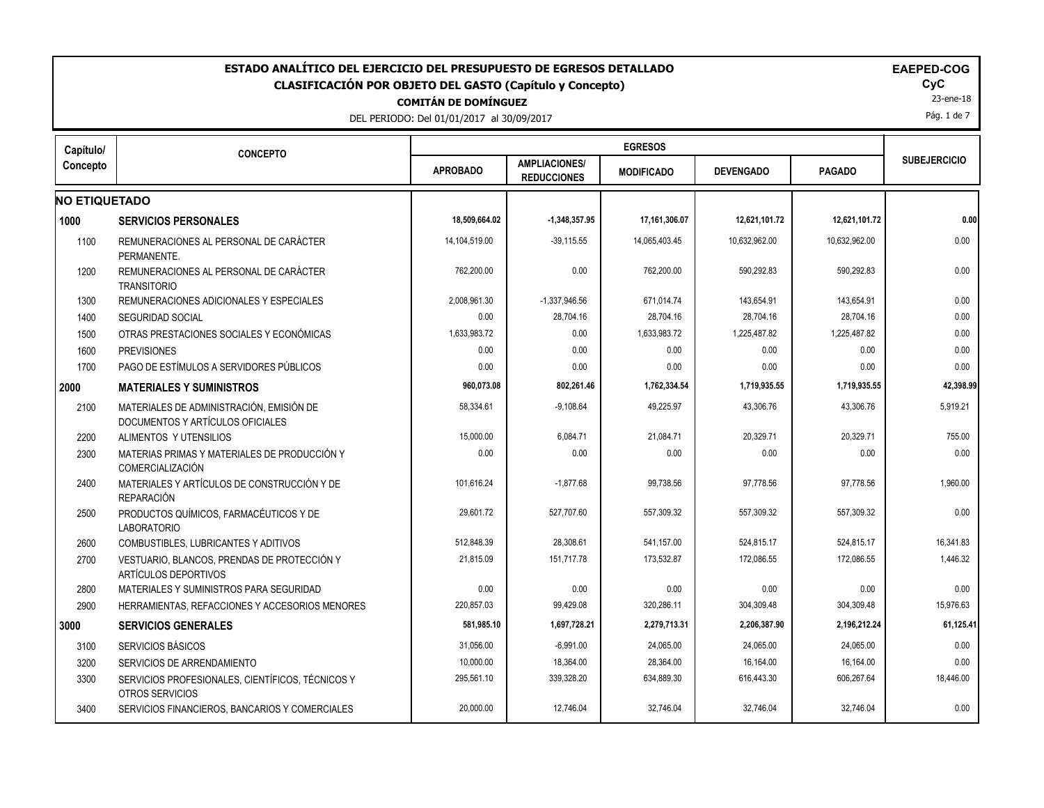| ESTADO ANALÍTICO DEL EJERCICIO DEL PRESUPUESTO DE EGRESOS DETALLADO<br><b>EAEPED-COG</b><br>CLASIFICACIÓN POR OBJETO DEL GASTO (Capítulo y Concepto)<br><b>COMITÁN DE DOMÍNGUEZ</b><br>DEL PERIODO: Del 01/01/2017 al 30/09/2017 |                                                                              |                 |                                            |                   |                  |               |                     |  |
|----------------------------------------------------------------------------------------------------------------------------------------------------------------------------------------------------------------------------------|------------------------------------------------------------------------------|-----------------|--------------------------------------------|-------------------|------------------|---------------|---------------------|--|
| Capítulo/                                                                                                                                                                                                                        | <b>CONCEPTO</b>                                                              |                 |                                            | <b>EGRESOS</b>    |                  |               |                     |  |
| Concepto                                                                                                                                                                                                                         |                                                                              | <b>APROBADO</b> | <b>AMPLIACIONES/</b><br><b>REDUCCIONES</b> | <b>MODIFICADO</b> | <b>DEVENGADO</b> | <b>PAGADO</b> | <b>SUBEJERCICIO</b> |  |
| <b>NO ETIQUETADO</b>                                                                                                                                                                                                             |                                                                              |                 |                                            |                   |                  |               |                     |  |
| 1000                                                                                                                                                                                                                             | <b>SERVICIOS PERSONALES</b>                                                  | 18,509,664.02   | $-1,348,357.95$                            | 17,161,306.07     | 12,621,101.72    | 12,621,101.72 | 0.00                |  |
| 1100                                                                                                                                                                                                                             | REMUNERACIONES AL PERSONAL DE CARÁCTER<br>PERMANENTE.                        | 14,104,519.00   | $-39,115.55$                               | 14,065,403.45     | 10,632,962.00    | 10,632,962.00 | 0.00                |  |
| 1200                                                                                                                                                                                                                             | REMUNERACIONES AL PERSONAL DE CARÁCTER<br><b>TRANSITORIO</b>                 | 762,200.00      | 0.00                                       | 762,200.00        | 590,292.83       | 590,292.83    | 0.00                |  |
| 1300                                                                                                                                                                                                                             | REMUNERACIONES ADICIONALES Y ESPECIALES                                      | 2,008,961.30    | $-1,337,946.56$                            | 671,014.74        | 143,654.91       | 143,654.91    | 0.00                |  |
| 1400                                                                                                                                                                                                                             | <b>SEGURIDAD SOCIAL</b>                                                      | 0.00            | 28,704.16                                  | 28,704.16         | 28,704.16        | 28,704.16     | 0.00                |  |
| 1500                                                                                                                                                                                                                             | OTRAS PRESTACIONES SOCIALES Y ECONÓMICAS                                     | 1,633,983.72    | 0.00                                       | 1,633,983.72      | 1,225,487.82     | 1,225,487.82  | 0.00                |  |
| 1600                                                                                                                                                                                                                             | <b>PREVISIONES</b>                                                           | 0.00            | 0.00                                       | 0.00              | 0.00             | 0.00          | 0.00                |  |
| 1700                                                                                                                                                                                                                             | PAGO DE ESTÍMULOS A SERVIDORES PÚBLICOS                                      | 0.00            | 0.00                                       | 0.00              | 0.00             | 0.00          | 0.00                |  |
| 2000                                                                                                                                                                                                                             | <b>MATERIALES Y SUMINISTROS</b>                                              | 960,073.08      | 802,261.46                                 | 1,762,334.54      | 1,719,935.55     | 1,719,935.55  | 42,398.99           |  |
| 2100                                                                                                                                                                                                                             | MATERIALES DE ADMINISTRACIÓN. EMISIÓN DE<br>DOCUMENTOS Y ARTÍCULOS OFICIALES | 58,334.61       | $-9,108.64$                                | 49.225.97         | 43,306.76        | 43,306.76     | 5,919.21            |  |
| 2200                                                                                                                                                                                                                             | ALIMENTOS Y UTENSILIOS                                                       | 15,000.00       | 6,084.71                                   | 21,084.71         | 20,329.71        | 20,329.71     | 755.00              |  |
| 2300                                                                                                                                                                                                                             | MATERIAS PRIMAS Y MATERIALES DE PRODUCCIÓN Y<br><b>COMERCIALIZACIÓN</b>      | 0.00            | 0.00                                       | 0.00              | 0.00             | 0.00          | 0.00                |  |
| 2400                                                                                                                                                                                                                             | MATERIALES Y ARTÍCULOS DE CONSTRUCCIÓN Y DE<br><b>REPARACIÓN</b>             | 101,616.24      | $-1.877.68$                                | 99,738.56         | 97,778.56        | 97,778.56     | 1,960.00            |  |
| 2500                                                                                                                                                                                                                             | PRODUCTOS QUÍMICOS. FARMACÉUTICOS Y DE<br><b>LABORATORIO</b>                 | 29,601.72       | 527,707.60                                 | 557,309.32        | 557,309.32       | 557,309.32    | 0.00                |  |
| 2600                                                                                                                                                                                                                             | <b>COMBUSTIBLES, LUBRICANTES Y ADITIVOS</b>                                  | 512,848.39      | 28,308.61                                  | 541,157.00        | 524,815.17       | 524,815.17    | 16,341.83           |  |
| 2700                                                                                                                                                                                                                             | VESTUARIO, BLANCOS, PRENDAS DE PROTECCIÓN Y<br><b>ARTÍCULOS DEPORTIVOS</b>   | 21,815.09       | 151,717.78                                 | 173,532.87        | 172,086.55       | 172,086.55    | 1,446.32            |  |
| 2800                                                                                                                                                                                                                             | MATERIALES Y SUMINISTROS PARA SEGURIDAD                                      | 0.00            | 0.00                                       | 0.00              | 0.00             | 0.00          | 0.00                |  |
| 2900                                                                                                                                                                                                                             | HERRAMIENTAS, REFACCIONES Y ACCESORIOS MENORES                               | 220,857.03      | 99,429.08                                  | 320,286.11        | 304,309.48       | 304,309.48    | 15,976.63           |  |
| 3000                                                                                                                                                                                                                             | <b>SERVICIOS GENERALES</b>                                                   | 581,985.10      | 1,697,728.21                               | 2,279,713.31      | 2,206,387.90     | 2,196,212.24  | 61,125.41           |  |
| 3100                                                                                                                                                                                                                             | SERVICIOS BÁSICOS                                                            | 31,056.00       | $-6,991.00$                                | 24,065.00         | 24,065.00        | 24,065.00     | 0.00                |  |
| 3200                                                                                                                                                                                                                             | SERVICIOS DE ARRENDAMIENTO                                                   | 10,000.00       | 18,364.00                                  | 28,364.00         | 16,164.00        | 16,164.00     | 0.00                |  |
| 3300                                                                                                                                                                                                                             | SERVICIOS PROFESIONALES, CIENTÍFICOS, TÉCNICOS Y<br>OTROS SERVICIOS          | 295,561.10      | 339,328.20                                 | 634,889.30        | 616,443.30       | 606,267.64    | 18,446.00           |  |
| 3400                                                                                                                                                                                                                             | SERVICIOS FINANCIEROS, BANCARIOS Y COMERCIALES                               | 20,000.00       | 12,746.04                                  | 32,746.04         | 32,746.04        | 32,746.04     | 0.00                |  |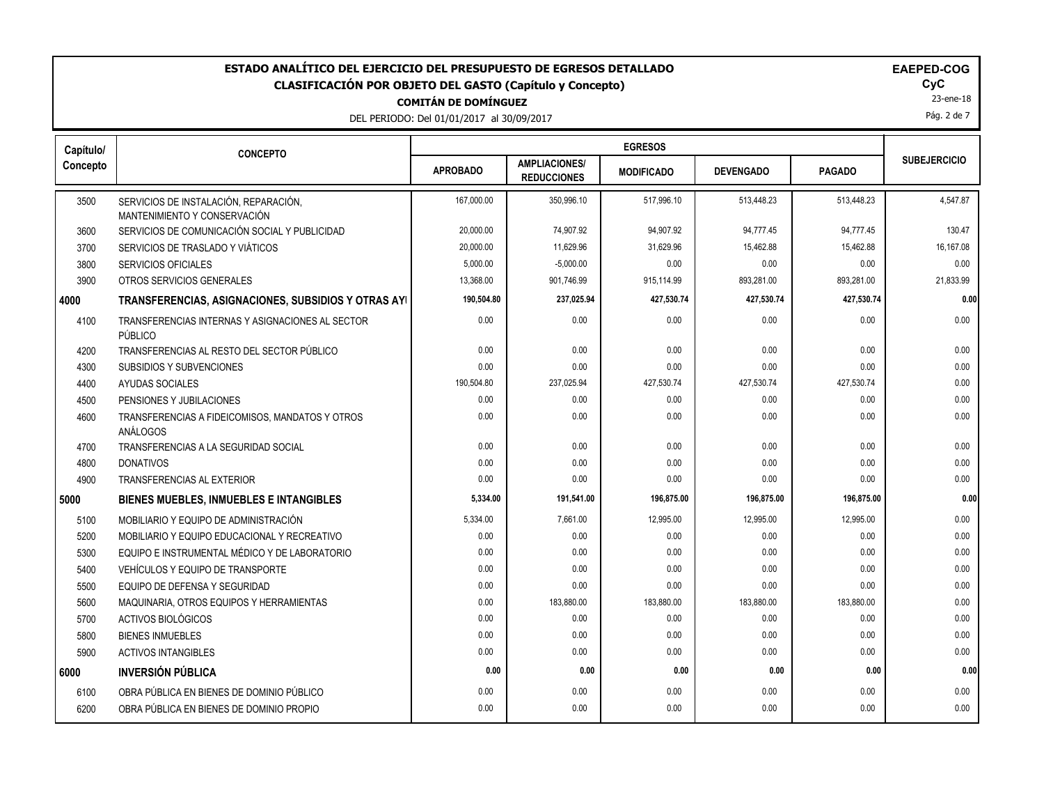# **COMITÁN DE DOMÍNGUEZ** ESTADO ANALÍTICO DEL EJERCICIO DEL PRESUPUESTO DE EGRESOS DETALLADO<br>CLASIFICACIÓN POR OBJETO DEL GASTO (Capítulo y Concepto) **ELAGO**COGO COGO COGO COGOCO **CLASIFICACIÓN POR OBJETO DEL GASTO (Capítulo y Concepto) CyC**

DEL PERIODO: Del 01/01/2017 al 30/09/2017

| <b>EAEPED-COG</b> |  |
|-------------------|--|
|-------------------|--|

23-ene-18

Pág. 2 de 7

| Capítulo/ | <b>CONCEPTO</b>                                             |                 |                                            |                   |                  |               |                     |
|-----------|-------------------------------------------------------------|-----------------|--------------------------------------------|-------------------|------------------|---------------|---------------------|
| Concepto  |                                                             | <b>APROBADO</b> | <b>AMPLIACIONES/</b><br><b>REDUCCIONES</b> | <b>MODIFICADO</b> | <b>DEVENGADO</b> | <b>PAGADO</b> | <b>SUBEJERCICIO</b> |
| 3500      | SERVICIOS DE INSTALACIÓN, REPARACIÓN,                       | 167.000.00      | 350,996.10                                 | 517,996.10        | 513,448.23       | 513,448.23    | 4,547.87            |
|           | MANTENIMIENTO Y CONSERVACIÓN                                |                 |                                            |                   |                  |               |                     |
| 3600      | SERVICIOS DE COMUNICACIÓN SOCIAL Y PUBLICIDAD               | 20,000.00       | 74,907.92                                  | 94,907.92         | 94,777.45        | 94,777.45     | 130.47              |
| 3700      | SERVICIOS DE TRASLADO Y VIÁTICOS                            | 20,000.00       | 11,629.96                                  | 31,629.96         | 15,462.88        | 15,462.88     | 16,167.08           |
| 3800      | SERVICIOS OFICIALES                                         | 5,000.00        | $-5,000.00$                                | 0.00              | 0.00             | 0.00          | 0.00                |
| 3900      | OTROS SERVICIOS GENERALES                                   | 13,368.00       | 901,746.99                                 | 915,114.99        | 893,281.00       | 893,281.00    | 21,833.99           |
| 4000      | TRANSFERENCIAS, ASIGNACIONES, SUBSIDIOS Y OTRAS AYI         | 190,504.80      | 237,025.94                                 | 427,530.74        | 427,530.74       | 427,530.74    | 0.00                |
| 4100      | TRANSFERENCIAS INTERNAS Y ASIGNACIONES AL SECTOR<br>PÚBLICO | 0.00            | 0.00                                       | 0.00              | 0.00             | 0.00          | 0.00                |
| 4200      | TRANSFERENCIAS AL RESTO DEL SECTOR PÚBLICO                  | 0.00            | 0.00                                       | 0.00              | 0.00             | 0.00          | 0.00                |
| 4300      | SUBSIDIOS Y SUBVENCIONES                                    | 0.00            | 0.00                                       | 0.00              | 0.00             | 0.00          | 0.00                |
| 4400      | AYUDAS SOCIALES                                             | 190,504.80      | 237,025.94                                 | 427,530.74        | 427,530.74       | 427,530.74    | 0.00                |
| 4500      | PENSIONES Y JUBILACIONES                                    | 0.00            | 0.00                                       | 0.00              | 0.00             | 0.00          | 0.00                |
| 4600      | TRANSFERENCIAS A FIDEICOMISOS, MANDATOS Y OTROS<br>ANÁLOGOS | 0.00            | 0.00                                       | 0.00              | 0.00             | 0.00          | 0.00                |
| 4700      | TRANSFERENCIAS A LA SEGURIDAD SOCIAL                        | 0.00            | 0.00                                       | 0.00              | 0.00             | 0.00          | 0.00                |
| 4800      | <b>DONATIVOS</b>                                            | 0.00            | 0.00                                       | 0.00              | 0.00             | 0.00          | 0.00                |
| 4900      | <b>TRANSFERENCIAS AL EXTERIOR</b>                           | 0.00            | 0.00                                       | 0.00              | 0.00             | 0.00          | 0.00                |
| 5000      | <b>BIENES MUEBLES, INMUEBLES E INTANGIBLES</b>              | 5,334.00        | 191,541.00                                 | 196,875.00        | 196,875.00       | 196,875.00    | 0.00                |
| 5100      | MOBILIARIO Y EQUIPO DE ADMINISTRACIÓN                       | 5,334.00        | 7,661.00                                   | 12,995.00         | 12,995.00        | 12,995.00     | 0.00                |
| 5200      | MOBILIARIO Y EQUIPO EDUCACIONAL Y RECREATIVO                | 0.00            | 0.00                                       | 0.00              | 0.00             | 0.00          | 0.00                |
| 5300      | EQUIPO E INSTRUMENTAL MÉDICO Y DE LABORATORIO               | 0.00            | 0.00                                       | 0.00              | 0.00             | 0.00          | 0.00                |
| 5400      | VEHÍCULOS Y EQUIPO DE TRANSPORTE                            | 0.00            | 0.00                                       | 0.00              | 0.00             | 0.00          | 0.00                |
| 5500      | EQUIPO DE DEFENSA Y SEGURIDAD                               | 0.00            | 0.00                                       | 0.00              | 0.00             | 0.00          | 0.00                |
| 5600      | MAQUINARIA, OTROS EQUIPOS Y HERRAMIENTAS                    | 0.00            | 183,880.00                                 | 183,880.00        | 183,880.00       | 183,880.00    | 0.00                |
| 5700      | ACTIVOS BIOLÓGICOS                                          | 0.00            | 0.00                                       | 0.00              | 0.00             | 0.00          | 0.00                |
| 5800      | <b>BIENES INMUEBLES</b>                                     | 0.00            | 0.00                                       | 0.00              | 0.00             | 0.00          | 0.00                |
| 5900      | <b>ACTIVOS INTANGIBLES</b>                                  | 0.00            | 0.00                                       | 0.00              | 0.00             | 0.00          | 0.00                |
| 6000      | <b>INVERSIÓN PÚBLICA</b>                                    | 0.00            | 0.00                                       | 0.00              | 0.00             | 0.00          | 0.00                |
| 6100      | OBRA PÚBLICA EN BIENES DE DOMINIO PÚBLICO                   | 0.00            | 0.00                                       | 0.00              | 0.00             | 0.00          | 0.00                |
| 6200      | OBRA PÚBLICA EN BIENES DE DOMINIO PROPIO                    | 0.00            | 0.00                                       | 0.00              | 0.00             | 0.00          | 0.00                |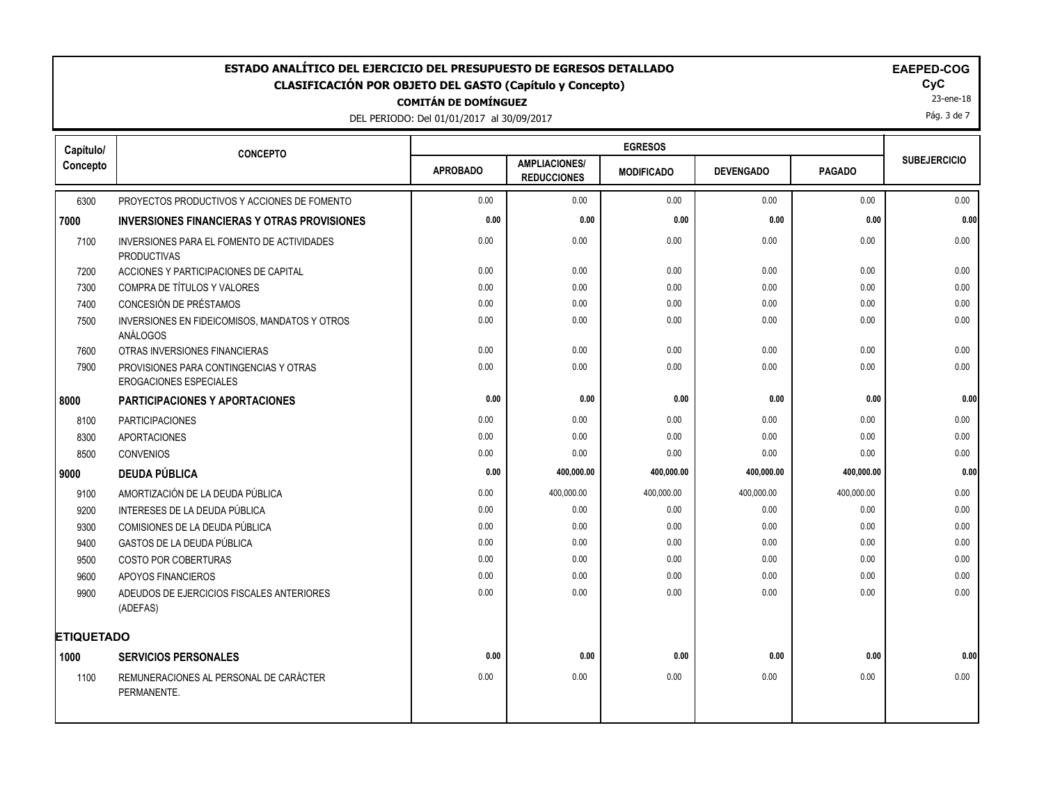# **COMITÁN DE DOMÍNGUEZ** ESTADO ANALÍTICO DEL EJERCICIO DEL PRESUPUESTO DE EGRESOS DETALLADO<br>CLASIFICACIÓN POR OBJETO DEL GASTO (Capítulo y Concepto) **ELAGO**COGO COGO COGOCO COGOCOCO **CLASIFICACIÓN POR OBJETO DEL GASTO (Capítulo y Concepto) CyC**

DEL PERIODO: Del 01/01/2017 al 30/09/2017

23-ene-18

Pág. 3 de 7

| Capítulo/         | <b>CONCEPTO</b>                                                         |                 |                                            |                   |                  |               |                     |
|-------------------|-------------------------------------------------------------------------|-----------------|--------------------------------------------|-------------------|------------------|---------------|---------------------|
| Concepto          |                                                                         | <b>APROBADO</b> | <b>AMPLIACIONES/</b><br><b>REDUCCIONES</b> | <b>MODIFICADO</b> | <b>DEVENGADO</b> | <b>PAGADO</b> | <b>SUBEJERCICIO</b> |
| 6300              | PROYECTOS PRODUCTIVOS Y ACCIONES DE FOMENTO                             | 0.00            | 0.00                                       | 0.00              | 0.00             | 0.00          | 0.00                |
| 7000              | <b>INVERSIONES FINANCIERAS Y OTRAS PROVISIONES</b>                      | 0.00            | 0.00                                       | 0.00              | 0.00             | 0.00          | 0.00                |
| 7100              | INVERSIONES PARA EL FOMENTO DE ACTIVIDADES<br><b>PRODUCTIVAS</b>        | 0.00            | 0.00                                       | 0.00              | 0.00             | 0.00          | 0.00                |
| 7200              | ACCIONES Y PARTICIPACIONES DE CAPITAL                                   | 0.00            | 0.00                                       | 0.00              | 0.00             | 0.00          | 0.00                |
| 7300              | COMPRA DE TÍTULOS Y VALORES                                             | 0.00            | 0.00                                       | 0.00              | 0.00             | 0.00          | 0.00                |
| 7400              | CONCESIÓN DE PRÉSTAMOS                                                  | 0.00            | 0.00                                       | 0.00              | 0.00             | 0.00          | 0.00                |
| 7500              | INVERSIONES EN FIDEICOMISOS, MANDATOS Y OTROS<br>ANÁLOGOS               | 0.00            | 0.00                                       | 0.00              | 0.00             | 0.00          | 0.00                |
| 7600              | OTRAS INVERSIONES FINANCIERAS                                           | 0.00            | 0.00                                       | 0.00              | 0.00             | 0.00          | 0.00                |
| 7900              | PROVISIONES PARA CONTINGENCIAS Y OTRAS<br><b>EROGACIONES ESPECIALES</b> | 0.00            | 0.00                                       | 0.00              | 0.00             | 0.00          | 0.00                |
| 8000              | <b>PARTICIPACIONES Y APORTACIONES</b>                                   | 0.00            | 0.00                                       | 0.00              | 0.00             | 0.00          | 0.00                |
| 8100              | <b>PARTICIPACIONES</b>                                                  | 0.00            | 0.00                                       | 0.00              | 0.00             | 0.00          | 0.00                |
| 8300              | <b>APORTACIONES</b>                                                     | 0.00            | 0.00                                       | 0.00              | 0.00             | 0.00          | 0.00                |
| 8500              | <b>CONVENIOS</b>                                                        | 0.00            | 0.00                                       | 0.00              | 0.00             | 0.00          | 0.00                |
| 9000              | <b>DEUDA PÚBLICA</b>                                                    | 0.00            | 400,000.00                                 | 400,000.00        | 400,000.00       | 400,000.00    | 0.00                |
| 9100              | AMORTIZACIÓN DE LA DEUDA PÚBLICA                                        | 0.00            | 400,000.00                                 | 400,000.00        | 400,000.00       | 400,000.00    | 0.00                |
| 9200              | INTERESES DE LA DEUDA PÚBLICA                                           | 0.00            | 0.00                                       | 0.00              | 0.00             | 0.00          | 0.00                |
| 9300              | COMISIONES DE LA DEUDA PÚBLICA                                          | 0.00            | 0.00                                       | 0.00              | 0.00             | 0.00          | 0.00                |
| 9400              | GASTOS DE LA DEUDA PÚBLICA                                              | 0.00            | 0.00                                       | 0.00              | 0.00             | 0.00          | 0.00                |
| 9500              | <b>COSTO POR COBERTURAS</b>                                             | 0.00            | 0.00                                       | 0.00              | 0.00             | 0.00          | 0.00                |
| 9600              | APOYOS FINANCIEROS                                                      | 0.00            | 0.00                                       | 0.00              | 0.00             | 0.00          | 0.00                |
| 9900              | ADEUDOS DE EJERCICIOS FISCALES ANTERIORES<br>(ADEFAS)                   | 0.00            | 0.00                                       | 0.00              | 0.00             | 0.00          | 0.00                |
| <b>ETIQUETADO</b> |                                                                         |                 |                                            |                   |                  |               |                     |
| 1000              | <b>SERVICIOS PERSONALES</b>                                             | 0.00            | 0.00                                       | 0.00              | 0.00             | 0.00          | 0.00                |
| 1100              | REMUNERACIONES AL PERSONAL DE CARÁCTER<br>PERMANENTE.                   | 0.00            | 0.00                                       | 0.00              | 0.00             | 0.00          | 0.00                |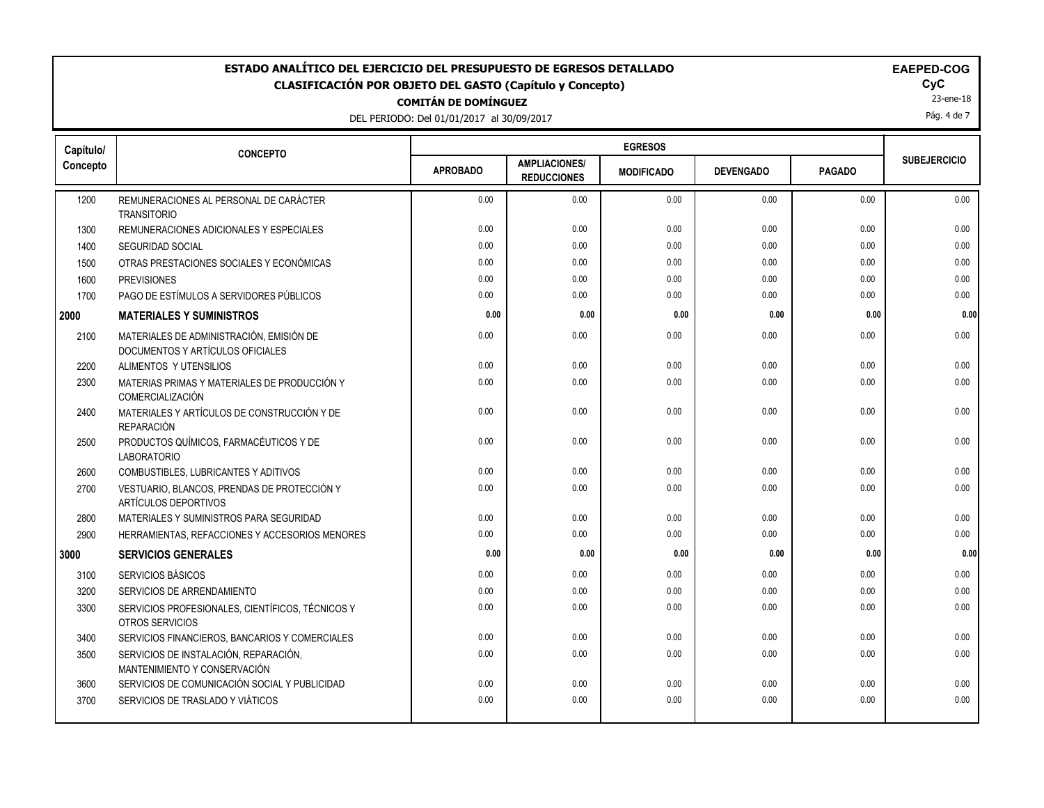#### **COMITÁN DE DOMÍNGUEZ ESTADO ANALÍTICO DEL EJERCICIO DEL PRESUPUESTO DE EGRESOS DETALLADO EAEPED-COG CLASIFICACIÓN POR OBJETO DEL GASTO (Capítulo y Concepto) CyC**

|                                          |  | ---------------------- |  |  |
|------------------------------------------|--|------------------------|--|--|
| DEL BEBIODO: Del 01/01/2017, al 20/00/20 |  |                        |  |  |

23-ene-18

Pág. 4 de 7

| Capítulo/ | <b>CONCEPTO</b>                                                              |                 |                                            |                   |                  |               |                     |
|-----------|------------------------------------------------------------------------------|-----------------|--------------------------------------------|-------------------|------------------|---------------|---------------------|
| Concepto  |                                                                              | <b>APROBADO</b> | <b>AMPLIACIONES/</b><br><b>REDUCCIONES</b> | <b>MODIFICADO</b> | <b>DEVENGADO</b> | <b>PAGADO</b> | <b>SUBEJERCICIO</b> |
| 1200      | REMUNERACIONES AL PERSONAL DE CARÁCTER<br><b>TRANSITORIO</b>                 | 0.00            | 0.00                                       | 0.00              | 0.00             | 0.00          | 0.00                |
| 1300      | REMUNERACIONES ADICIONALES Y ESPECIALES                                      | 0.00            | 0.00                                       | 0.00              | 0.00             | 0.00          | 0.00                |
| 1400      | <b>SEGURIDAD SOCIAL</b>                                                      | 0.00            | 0.00                                       | 0.00              | 0.00             | 0.00          | 0.00                |
| 1500      | OTRAS PRESTACIONES SOCIALES Y ECONÓMICAS                                     | 0.00            | 0.00                                       | 0.00              | 0.00             | 0.00          | 0.00                |
| 1600      | <b>PREVISIONES</b>                                                           | 0.00            | 0.00                                       | 0.00              | 0.00             | 0.00          | 0.00                |
| 1700      | PAGO DE ESTÍMULOS A SERVIDORES PÚBLICOS                                      | 0.00            | 0.00                                       | 0.00              | 0.00             | 0.00          | 0.00                |
| 2000      | <b>MATERIALES Y SUMINISTROS</b>                                              | 0.00            | 0.00                                       | 0.00              | 0.00             | 0.00          | 0.00                |
| 2100      | MATERIALES DE ADMINISTRACIÓN, EMISIÓN DE<br>DOCUMENTOS Y ARTÍCULOS OFICIALES | 0.00            | 0.00                                       | 0.00              | 0.00             | 0.00          | 0.00                |
| 2200      | ALIMENTOS Y UTENSILIOS                                                       | 0.00            | 0.00                                       | 0.00              | 0.00             | 0.00          | 0.00                |
| 2300      | MATERIAS PRIMAS Y MATERIALES DE PRODUCCIÓN Y<br>COMERCIALIZACIÓN             | 0.00            | 0.00                                       | 0.00              | 0.00             | 0.00          | 0.00                |
| 2400      | MATERIALES Y ARTÍCULOS DE CONSTRUCCIÓN Y DE<br><b>REPARACIÓN</b>             | 0.00            | 0.00                                       | 0.00              | 0.00             | 0.00          | 0.00                |
| 2500      | PRODUCTOS QUÍMICOS, FARMACÉUTICOS Y DE<br><b>LABORATORIO</b>                 | 0.00            | 0.00                                       | 0.00              | 0.00             | 0.00          | 0.00                |
| 2600      | COMBUSTIBLES, LUBRICANTES Y ADITIVOS                                         | 0.00            | 0.00                                       | 0.00              | 0.00             | 0.00          | 0.00                |
| 2700      | VESTUARIO, BLANCOS, PRENDAS DE PROTECCIÓN Y<br>ARTÍCULOS DEPORTIVOS          | 0.00            | 0.00                                       | 0.00              | 0.00             | 0.00          | 0.00                |
| 2800      | MATERIALES Y SUMINISTROS PARA SEGURIDAD                                      | 0.00            | 0.00                                       | 0.00              | 0.00             | 0.00          | 0.00                |
| 2900      | HERRAMIENTAS, REFACCIONES Y ACCESORIOS MENORES                               | 0.00            | 0.00                                       | 0.00              | 0.00             | 0.00          | 0.00                |
| 3000      | <b>SERVICIOS GENERALES</b>                                                   | 0.00            | 0.00                                       | 0.00              | 0.00             | 0.00          | 0.00                |
| 3100      | SERVICIOS BÁSICOS                                                            | 0.00            | 0.00                                       | 0.00              | 0.00             | 0.00          | 0.00                |
| 3200      | SERVICIOS DE ARRENDAMIENTO                                                   | 0.00            | 0.00                                       | 0.00              | 0.00             | 0.00          | 0.00                |
| 3300      | SERVICIOS PROFESIONALES, CIENTÍFICOS, TÉCNICOS Y<br>OTROS SERVICIOS          | 0.00            | 0.00                                       | 0.00              | 0.00             | 0.00          | 0.00                |
| 3400      | SERVICIOS FINANCIEROS, BANCARIOS Y COMERCIALES                               | 0.00            | 0.00                                       | 0.00              | 0.00             | 0.00          | 0.00                |
| 3500      | SERVICIOS DE INSTALACIÓN, REPARACIÓN,<br>MANTENIMIENTO Y CONSERVACIÓN        | 0.00            | 0.00                                       | 0.00              | 0.00             | 0.00          | 0.00                |
| 3600      | SERVICIOS DE COMUNICACIÓN SOCIAL Y PUBLICIDAD                                | 0.00            | 0.00                                       | 0.00              | 0.00             | 0.00          | 0.00                |
| 3700      | SERVICIOS DE TRASLADO Y VIÁTICOS                                             | 0.00            | 0.00                                       | 0.00              | 0.00             | 0.00          | 0.00                |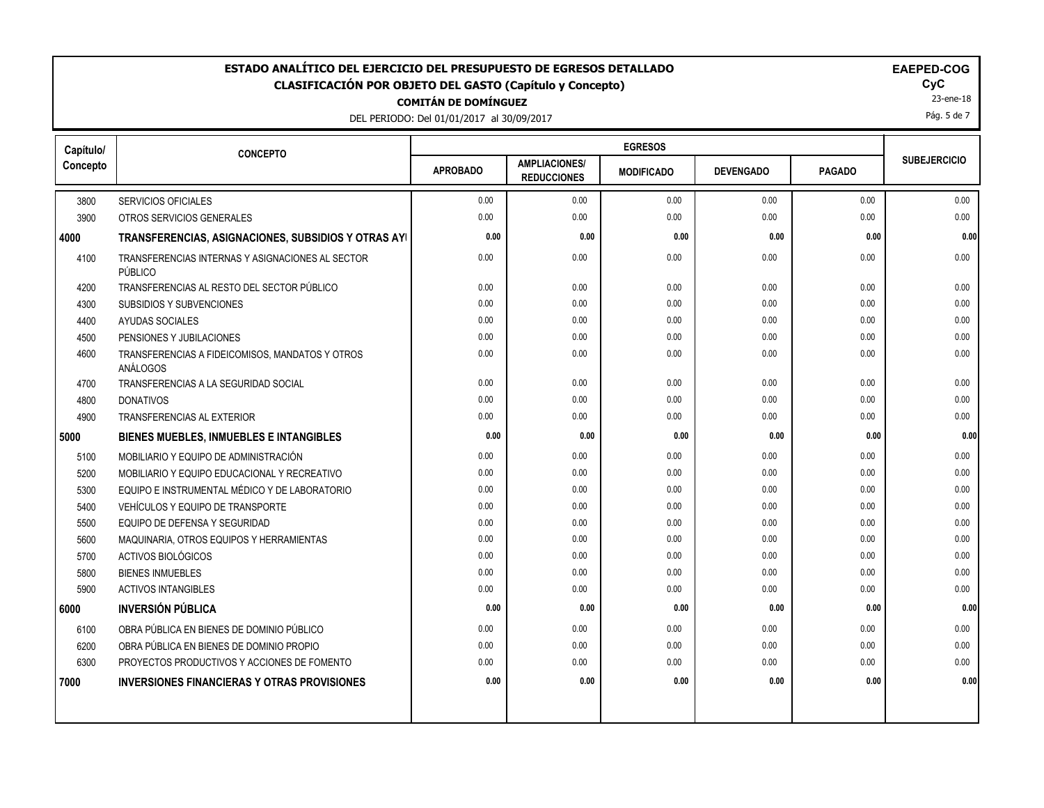## **COMITÁN DE DOMÍNGUEZ ESTADO ANALÍTICO DEL EJERCICIO DEL PRESUPUESTO DE EGRESOS DETALLADO EAEPED-COG CLASIFICACIÓN POR OBJETO DEL GASTO (Capítulo y Concepto) CyC**

DEL PERIODO: Del 01/01/2017 al 30/09/2017

23-ene-18

Pág. 5 de 7

| Capítulo/<br>Concepto | <b>CONCEPTO</b>                                             |                 |                                            | <b>EGRESOS</b>    |                  |               |                     |  |  |
|-----------------------|-------------------------------------------------------------|-----------------|--------------------------------------------|-------------------|------------------|---------------|---------------------|--|--|
|                       |                                                             | <b>APROBADO</b> | <b>AMPLIACIONES/</b><br><b>REDUCCIONES</b> | <b>MODIFICADO</b> | <b>DEVENGADO</b> | <b>PAGADO</b> | <b>SUBEJERCICIO</b> |  |  |
| 3800                  | <b>SERVICIOS OFICIALES</b>                                  | 0.00            | 0.00                                       | 0.00              | 0.00             | 0.00          | 0.00                |  |  |
| 3900                  | OTROS SERVICIOS GENERALES                                   | 0.00            | 0.00                                       | 0.00              | 0.00             | 0.00          | 0.00                |  |  |
| 4000                  | TRANSFERENCIAS, ASIGNACIONES, SUBSIDIOS Y OTRAS AYI         | 0.00            | 0.00                                       | 0.00              | 0.00             | 0.00          | 0.00                |  |  |
| 4100                  | TRANSFERENCIAS INTERNAS Y ASIGNACIONES AL SECTOR<br>PÚBLICO | 0.00            | 0.00                                       | 0.00              | 0.00             | 0.00          | 0.00                |  |  |
| 4200                  | TRANSFERENCIAS AL RESTO DEL SECTOR PÚBLICO                  | 0.00            | 0.00                                       | 0.00              | 0.00             | 0.00          | 0.00                |  |  |
| 4300                  | SUBSIDIOS Y SUBVENCIONES                                    | 0.00            | 0.00                                       | 0.00              | 0.00             | 0.00          | 0.00                |  |  |
| 4400                  | AYUDAS SOCIALES                                             | 0.00            | 0.00                                       | 0.00              | 0.00             | 0.00          | 0.00                |  |  |
| 4500                  | PENSIONES Y JUBILACIONES                                    | 0.00            | 0.00                                       | 0.00              | 0.00             | 0.00          | 0.00                |  |  |
| 4600                  | TRANSFERENCIAS A FIDEICOMISOS, MANDATOS Y OTROS<br>ANÁLOGOS | 0.00            | 0.00                                       | 0.00              | 0.00             | 0.00          | 0.00                |  |  |
| 4700                  | TRANSFERENCIAS A LA SEGURIDAD SOCIAL                        | 0.00            | 0.00                                       | 0.00              | 0.00             | 0.00          | 0.00                |  |  |
| 4800                  | <b>DONATIVOS</b>                                            | 0.00            | 0.00                                       | 0.00              | 0.00             | 0.00          | 0.00                |  |  |
| 4900                  | <b>TRANSFERENCIAS AL EXTERIOR</b>                           | 0.00            | 0.00                                       | 0.00              | 0.00             | 0.00          | 0.00                |  |  |
| 5000                  | <b>BIENES MUEBLES, INMUEBLES E INTANGIBLES</b>              | 0.00            | 0.00                                       | 0.00              | 0.00             | 0.00          | 0.00                |  |  |
| 5100                  | MOBILIARIO Y EQUIPO DE ADMINISTRACIÓN                       | 0.00            | 0.00                                       | 0.00              | 0.00             | 0.00          | 0.00                |  |  |
| 5200                  | MOBILIARIO Y EQUIPO EDUCACIONAL Y RECREATIVO                | 0.00            | 0.00                                       | 0.00              | 0.00             | 0.00          | 0.00                |  |  |
| 5300                  | EQUIPO E INSTRUMENTAL MÉDICO Y DE LABORATORIO               | 0.00            | 0.00                                       | 0.00              | 0.00             | 0.00          | 0.00                |  |  |
| 5400                  | VEHÍCULOS Y EQUIPO DE TRANSPORTE                            | 0.00            | 0.00                                       | 0.00              | 0.00             | 0.00          | 0.00                |  |  |
| 5500                  | EQUIPO DE DEFENSA Y SEGURIDAD                               | 0.00            | 0.00                                       | 0.00              | 0.00             | 0.00          | 0.00                |  |  |
| 5600                  | MAQUINARIA, OTROS EQUIPOS Y HERRAMIENTAS                    | 0.00            | 0.00                                       | 0.00              | 0.00             | 0.00          | 0.00                |  |  |
| 5700                  | ACTIVOS BIOLÓGICOS                                          | 0.00            | 0.00                                       | 0.00              | 0.00             | 0.00          | 0.00                |  |  |
| 5800                  | <b>BIENES INMUEBLES</b>                                     | 0.00            | 0.00                                       | 0.00              | 0.00             | 0.00          | 0.00                |  |  |
| 5900                  | <b>ACTIVOS INTANGIBLES</b>                                  | 0.00            | 0.00                                       | 0.00              | 0.00             | 0.00          | 0.00                |  |  |
| 6000                  | <b>INVERSIÓN PÚBLICA</b>                                    | 0.00            | 0.00                                       | 0.00              | 0.00             | 0.00          | 0.00                |  |  |
| 6100                  | OBRA PÚBLICA EN BIENES DE DOMINIO PÚBLICO                   | 0.00            | 0.00                                       | 0.00              | 0.00             | 0.00          | 0.00                |  |  |
| 6200                  | OBRA PÚBLICA EN BIENES DE DOMINIO PROPIO                    | 0.00            | 0.00                                       | 0.00              | 0.00             | 0.00          | 0.00                |  |  |
| 6300                  | PROYECTOS PRODUCTIVOS Y ACCIONES DE FOMENTO                 | 0.00            | 0.00                                       | 0.00              | 0.00             | 0.00          | 0.00                |  |  |
| 7000                  | <b>INVERSIONES FINANCIERAS Y OTRAS PROVISIONES</b>          | 0.00            | 0.00                                       | 0.00              | 0.00             | 0.00          | 0.00                |  |  |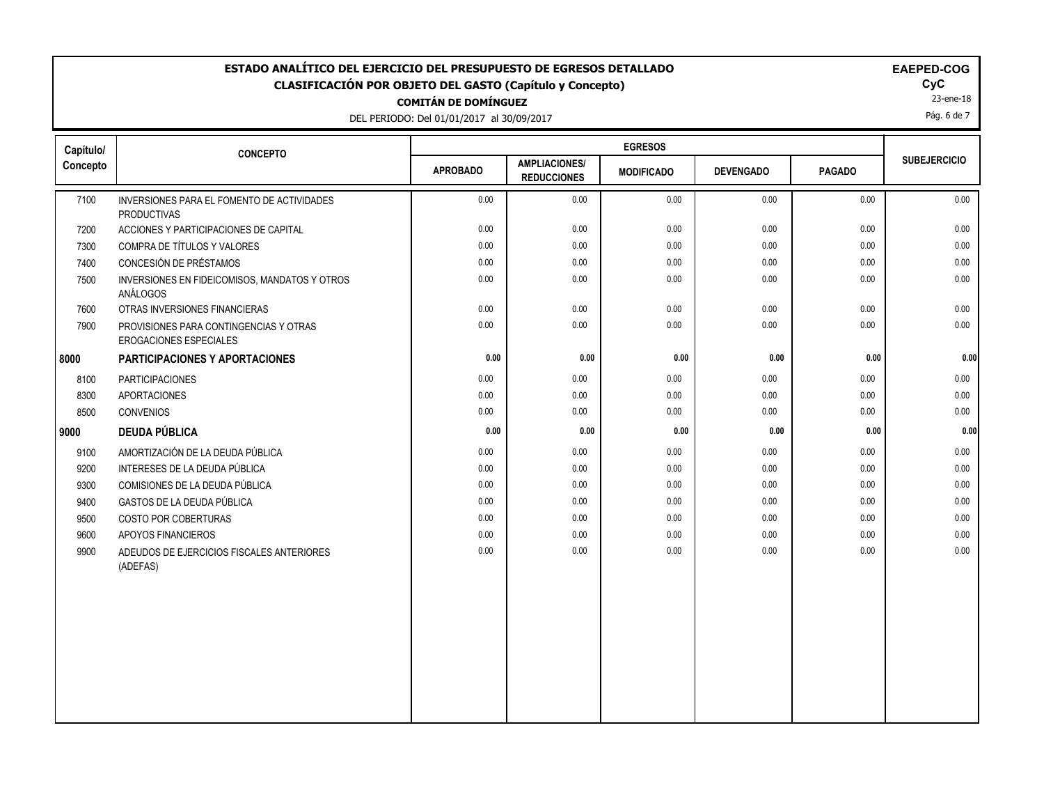## **COMITÁN DE DOMÍNGUEZ** ESTADO ANALÍTICO DEL EJERCICIO DEL PRESUPUESTO DE EGRESOS DETALLADO<br>CLASIFICACIÓN POR OBJETO DEL GASTO (Capítulo y Concepto) **EL CASIFICACIÓN DEL GASTO (Capítulo y Concept**o) **CLASIFICACIÓN POR OBJETO DEL GASTO (Capítulo y Concepto) CyC**

DEL PERIODO: Del 01/01/2017 al 30/09/2017

|          | TO (capitulo y collectio) |  |
|----------|---------------------------|--|
| -------- |                           |  |

|  |  |  | <b>EAEPED-COG</b> |  |
|--|--|--|-------------------|--|
|--|--|--|-------------------|--|

23-ene-18

Pág. 6 de 7

| Capítulo/ | <b>CONCEPTO</b>                                                  |                 |                                            |                   |                  |               |                     |
|-----------|------------------------------------------------------------------|-----------------|--------------------------------------------|-------------------|------------------|---------------|---------------------|
| Concepto  |                                                                  | <b>APROBADO</b> | <b>AMPLIACIONES/</b><br><b>REDUCCIONES</b> | <b>MODIFICADO</b> | <b>DEVENGADO</b> | <b>PAGADO</b> | <b>SUBEJERCICIO</b> |
| 7100      | INVERSIONES PARA EL FOMENTO DE ACTIVIDADES<br><b>PRODUCTIVAS</b> | 0.00            | 0.00                                       | 0.00              | 0.00             | 0.00          | 0.00                |
| 7200      | ACCIONES Y PARTICIPACIONES DE CAPITAL                            | 0.00            | 0.00                                       | 0.00              | 0.00             | 0.00          | 0.00                |
| 7300      | COMPRA DE TÍTULOS Y VALORES                                      | 0.00            | 0.00                                       | 0.00              | 0.00             | 0.00          | 0.00                |
| 7400      | CONCESIÓN DE PRÉSTAMOS                                           | 0.00            | 0.00                                       | 0.00              | 0.00             | 0.00          | 0.00                |
| 7500      | INVERSIONES EN FIDEICOMISOS, MANDATOS Y OTROS<br>ANÁLOGOS        | 0.00            | 0.00                                       | 0.00              | 0.00             | 0.00          | 0.00                |
| 7600      | OTRAS INVERSIONES FINANCIERAS                                    | 0.00            | 0.00                                       | 0.00              | 0.00             | 0.00          | 0.00                |
| 7900      | PROVISIONES PARA CONTINGENCIAS Y OTRAS<br>EROGACIONES ESPECIALES | 0.00            | 0.00                                       | 0.00              | 0.00             | 0.00          | 0.00                |
| 8000      | PARTICIPACIONES Y APORTACIONES                                   | 0.00            | 0.00                                       | 0.00              | 0.00             | 0.00          | 0.00                |
| 8100      | <b>PARTICIPACIONES</b>                                           | 0.00            | 0.00                                       | 0.00              | 0.00             | 0.00          | 0.00                |
| 8300      | <b>APORTACIONES</b>                                              | 0.00            | 0.00                                       | 0.00              | 0.00             | 0.00          | 0.00                |
| 8500      | CONVENIOS                                                        | 0.00            | 0.00                                       | 0.00              | 0.00             | 0.00          | 0.00                |
| 9000      | <b>DEUDA PÚBLICA</b>                                             | 0.00            | 0.00                                       | 0.00              | 0.00             | 0.00          | 0.00                |
| 9100      | AMORTIZACIÓN DE LA DEUDA PÚBLICA                                 | 0.00            | 0.00                                       | 0.00              | 0.00             | 0.00          | 0.00                |
| 9200      | INTERESES DE LA DEUDA PÚBLICA                                    | 0.00            | 0.00                                       | 0.00              | 0.00             | 0.00          | 0.00                |
| 9300      | COMISIONES DE LA DEUDA PÚBLICA                                   | 0.00            | 0.00                                       | 0.00              | 0.00             | 0.00          | 0.00                |
| 9400      | GASTOS DE LA DEUDA PÚBLICA                                       | 0.00            | 0.00                                       | 0.00              | 0.00             | 0.00          | 0.00                |
| 9500      | COSTO POR COBERTURAS                                             | 0.00            | 0.00                                       | 0.00              | 0.00             | 0.00          | 0.00                |
| 9600      | APOYOS FINANCIEROS                                               | 0.00            | 0.00                                       | 0.00              | 0.00             | 0.00          | 0.00                |
| 9900      | ADEUDOS DE EJERCICIOS FISCALES ANTERIORES<br>(ADEFAS)            | 0.00            | 0.00                                       | 0.00              | 0.00             | 0.00          | 0.00                |
|           |                                                                  |                 |                                            |                   |                  |               |                     |
|           |                                                                  |                 |                                            |                   |                  |               |                     |
|           |                                                                  |                 |                                            |                   |                  |               |                     |
|           |                                                                  |                 |                                            |                   |                  |               |                     |